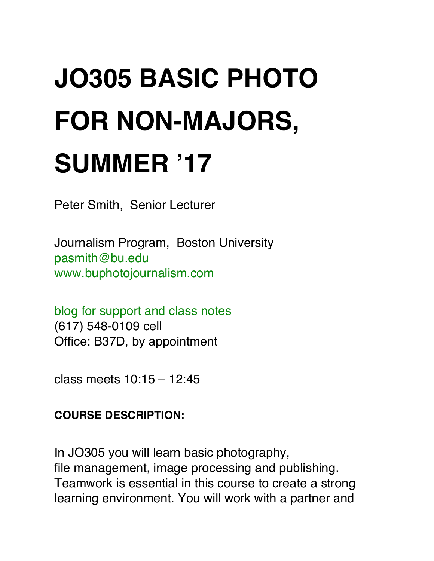### **JO305 BASIC PHOTO FOR NON-MAJORS, SUMMER '17**

Peter Smith, Senior Lecturer

Journalism Program, Boston University [pasmith@bu.edu](mailto:pasmith@bu.edu) [www.buphotojournalism.com](http://www.buphotojournalism.com/)

[blog for support and class notes](http://blogs.bu.edu/pasmith/2017/05/29/305-support/) (617) 548-0109 cell Office: B37D, by appointment

class meets 10:15 – 12:45

#### **COURSE DESCRIPTION:**

In JO305 you will learn basic photography, file management, image processing and publishing. Teamwork is essential in this course to create a strong learning environment. You will work with a partner and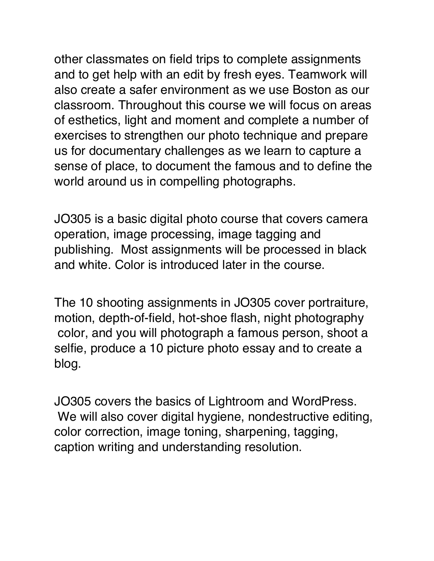other classmates on field trips to complete assignments and to get help with an edit by fresh eyes. Teamwork will also create a safer environment as we use Boston as our classroom. Throughout this course we will focus on areas of esthetics, light and moment and complete a number of exercises to strengthen our photo technique and prepare us for documentary challenges as we learn to capture a sense of place, to document the famous and to define the world around us in compelling photographs.

JO305 is a basic digital photo course that covers camera operation, image processing, image tagging and publishing. Most assignments will be processed in black and white. Color is introduced later in the course.

The 10 shooting assignments in JO305 cover portraiture, motion, depth-of-field, hot-shoe flash, night photography color, and you will photograph a famous person, shoot a selfie, produce a 10 picture photo essay and to create a blog.

JO305 covers the basics of Lightroom and WordPress. We will also cover digital hygiene, nondestructive editing, color correction, image toning, sharpening, tagging, caption writing and understanding resolution.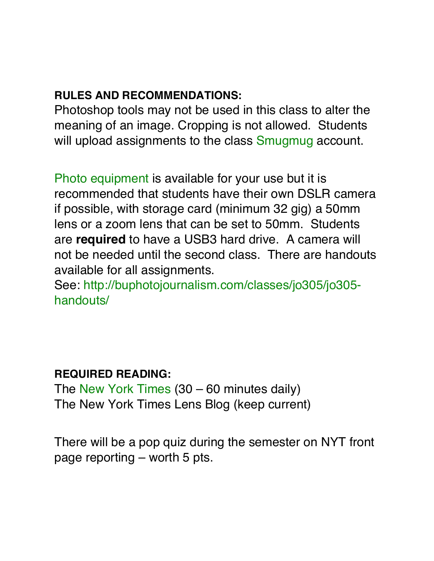### **RULES AND RECOMMENDATIONS:**

Photoshop tools may not be used in this class to alter the meaning of an image. Cropping is not allowed. Students will upload assignments to the class [Smugmug](http://buphotojournalism.smugmug.com/) account.

[Photo equipment](https://wco.bu.edu/) is available for your use but it is recommended that students have their own DSLR camera if possible, with storage card (minimum 32 gig) a 50mm lens or a zoom lens that can be set to 50mm. Students are **required** to have a USB3 hard drive. A camera will not be needed until the second class. There are handouts available for all assignments.

See[: http://buphotojournalism.com/classes/jo305/jo305](http://buphotojournalism.com/classes/jo305/jo305-handouts/) [handouts/](http://buphotojournalism.com/classes/jo305/jo305-handouts/)

### **REQUIRED READING:**

The [New York Times](http://www.nyt.com/) (30 – 60 minutes daily) The New York Times Lens Blog (keep current)

There will be a pop quiz during the semester on NYT front page reporting – worth 5 pts.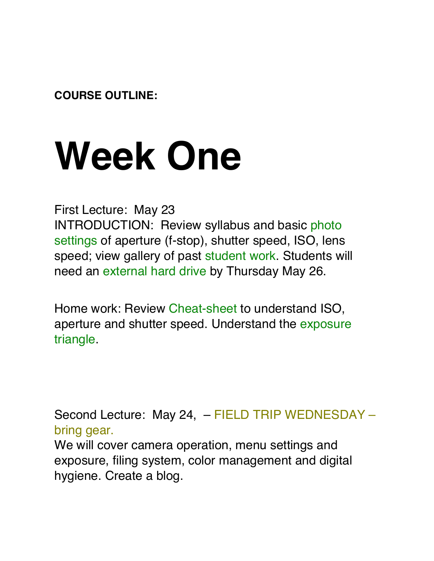**COURSE OUTLINE:**

### **Week One**

First Lecture: May 23 INTRODUCTION: Review syllabus and basic [photo](https://www.icloud.com/keynote/0003oPKMyF5WuB1ufbrWcyP7Q#T2i)  [settings](https://www.icloud.com/keynote/0003oPKMyF5WuB1ufbrWcyP7Q#T2i) of aperture (f-stop), shutter speed, ISO, lens speed; view gallery of past [student work](https://buphotojournalism.smugmug.com/organize/JO305/Best-of-16). Students will need an [external hard drive](https://www.amazon.com/External-Hard-Drives-Storage-Add-Ons/b?ie=UTF8&node=595048) by Thursday May 26.

Home work: Review [Cheat-sheet](http://www.techradar.com/how-to/photography-video-capture/cameras/the-exposure-triangle-aperture-shutter-speed-and-iso-explained-1320830) to understand ISO, aperture and shutter speed. Understand the [exposure](http://media.digitalcameraworld.com/wp-content/uploads/sites/123/2015/04/Exposure_triangle_cheat_sheet.jpg)  [triangle.](http://media.digitalcameraworld.com/wp-content/uploads/sites/123/2015/04/Exposure_triangle_cheat_sheet.jpg)

Second Lecture: May 24, – FIELD TRIP WEDNESDAY – bring gear.

We will cover camera operation, menu settings and exposure, filing system, color management and digital hygiene. Create a blog.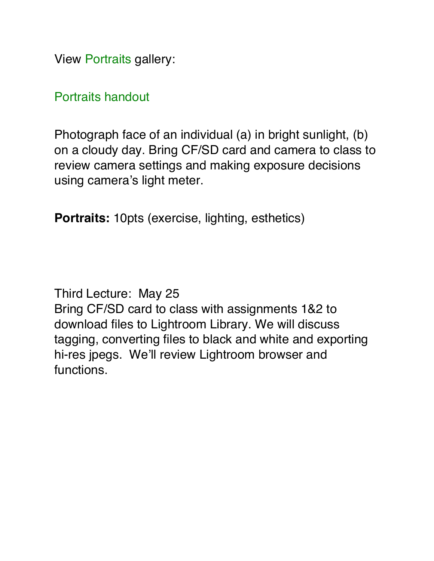View [Portraits](https://buphotojournalism.smugmug.com/JO305/Best-of/Portraits/) gallery:

[Portraits handout](http://buphotojournalism.com/classes/jo305/jo305-handouts/assignment-12-portraits/)

Photograph face of an individual (a) in bright sunlight, (b) on a cloudy day. Bring CF/SD card and camera to class to review camera settings and making exposure decisions using camera's light meter.

**Portraits:** 10pts (exercise, lighting, esthetics)

Third Lecture: May 25 Bring CF/SD card to class with assignments 1&2 to download files to Lightroom Library. We will discuss tagging, converting files to black and white and exporting hi-res jpegs. We'll review Lightroom browser and functions.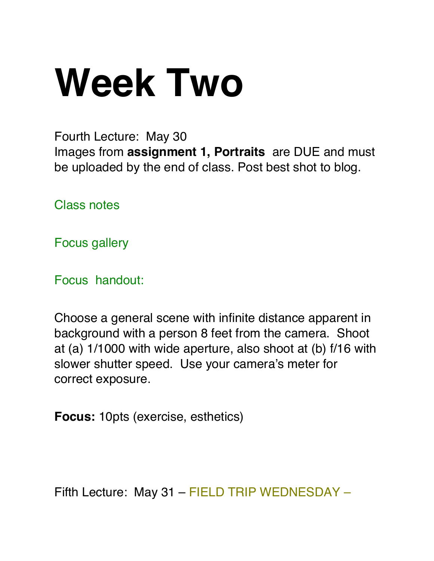# **Week Two**

Fourth Lecture: May 30 Images from **assignment 1, Portraits** are DUE and must be uploaded by the end of class. Post best shot to blog.

[Class notes](http://blogs.bu.edu/pasmith/2017/05/29/305-support/)

[Focus gallery](https://buphotojournalism.smugmug.com/JO305/Best-of/Depth-of-Field/)

[Focus handout:](http://buphotojournalism.com/home/jo305/jo305-handouts/assignment-34-adjusting-depth-of-field/)

Choose a general scene with infinite distance apparent in background with a person 8 feet from the camera. Shoot at (a) 1/1000 with wide aperture, also shoot at (b) f/16 with slower shutter speed. Use your camera's meter for correct exposure.

**Focus:** 10pts (exercise, esthetics)

Fifth Lecture: May 31 – FIELD TRIP WEDNESDAY –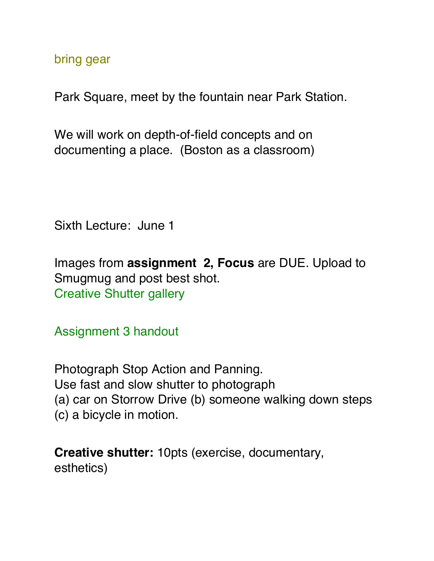bring gear

Park Square, meet by the fountain near Park Station.

We will work on depth-of-field concepts and on documenting a place. (Boston as a classroom)

Sixth Lecture: June 1

Images from **assignment 2, Focus** are DUE. Upload to Smugmug and post best shot. [Creative Shutter gallery](https://buphotojournalism.smugmug.com/JO305/Best-of/Creative-Shutter/)

[Assignment 3](http://buphotojournalism.com/home/jo515/) handout

Photograph Stop Action and Panning. Use fast and slow shutter to photograph (a) car on Storrow Drive (b) someone walking down steps (c) a bicycle in motion.

**Creative shutter:** 10pts (exercise, documentary, esthetics)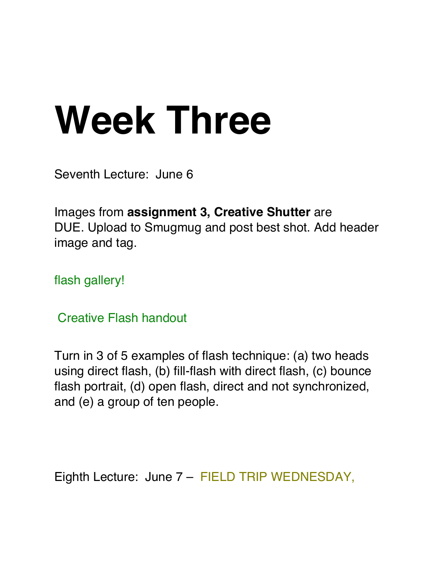## **Week Three**

Seventh Lecture: June 6

Images from **assignment 3, Creative Shutter** are DUE. Upload to Smugmug and post best shot. Add header image and tag.

flash [gallery!](https://buphotojournalism.smugmug.com/JO305/Best-of/Creative-flash/)

[Creative Flash](http://buphotojournalism.com/home/jo305/jo305-handouts/assignment-4-flash/) handout

Turn in 3 of 5 examples of flash technique: (a) two heads using direct flash, (b) fill-flash with direct flash, (c) bounce flash portrait, (d) open flash, direct and not synchronized, and (e) a group of ten people.

Eighth Lecture: June 7 – FIELD TRIP WEDNESDAY,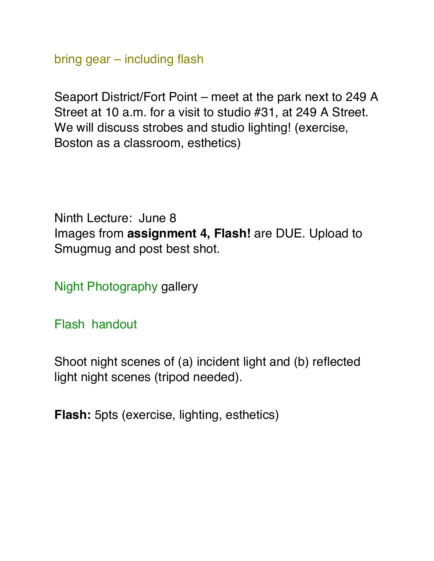bring gear – including flash

Seaport District/Fort Point – meet at the park next to 249 A Street at 10 a.m. for a visit to studio #31, at 249 A Street. We will discuss strobes and studio lighting! (exercise, Boston as a classroom, esthetics)

Ninth Lecture: June 8 Images from **assignment 4, Flash!** are DUE. Upload to Smugmug and post best shot.

[Night Photography](https://buphotojournalism.smugmug.com/JO305/Best-of/Night/) gallery

Flash [handout](http://buphotojournalism.com/home/jo305/jo305-handouts/assignment-78-night-photography/)

Shoot night scenes of (a) incident light and (b) reflected light night scenes (tripod needed).

**Flash:** 5pts (exercise, lighting, esthetics)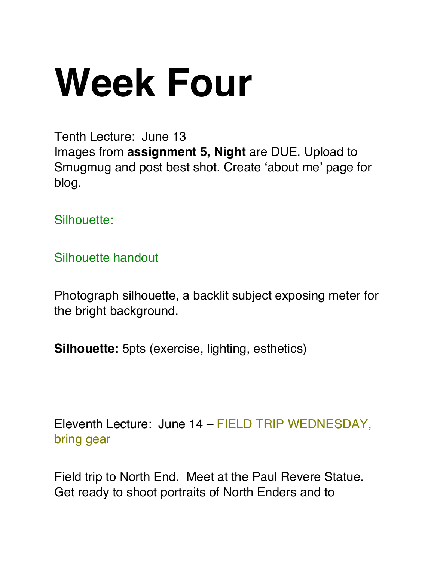# **Week Four**

Tenth Lecture: June 13 Images from **assignment 5, Night** are DUE. Upload to Smugmug and post best shot. Create 'about me' page for blog.

[Silhouette:](https://buphotojournalism.smugmug.com/JO305/Best-of/Silhouette/)

[Silhouette handout](http://buphotojournalism.com/home/jo305/jo305-handouts/assignments-910-flash-test-and-silhouette/)

Photograph silhouette, a backlit subject exposing meter for the bright background.

**Silhouette:** 5pts (exercise, lighting, esthetics)

Eleventh Lecture: June 14 – FIELD TRIP WEDNESDAY, bring gear

Field trip to North End. Meet at the Paul Revere Statue. Get ready to shoot portraits of North Enders and to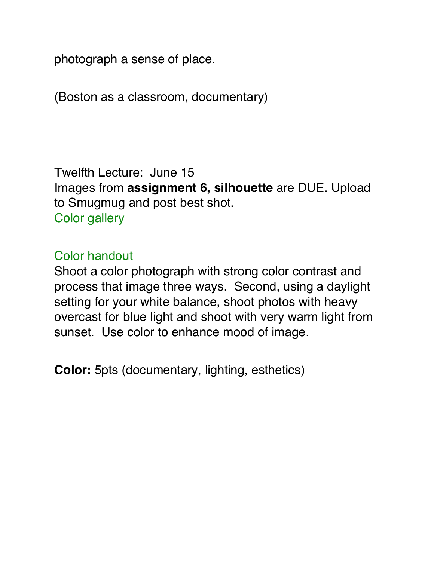photograph a sense of place.

(Boston as a classroom, documentary)

Twelfth Lecture: June 15 Images from **assignment 6, silhouette** are DUE. Upload to Smugmug and post best shot. Color [gallery](https://buphotojournalism.smugmug.com/JO305/Best-of/Color/)

### [Color handout](http://buphotojournalism.com/home/jo305/jo305-handouts/assignment-1415-introduction-to-color/)

Shoot a color photograph with strong color contrast and process that image three ways. Second, using a daylight setting for your white balance, shoot photos with heavy overcast for blue light and shoot with very warm light from sunset. Use color to enhance mood of image.

**Color:** 5pts (documentary, lighting, esthetics)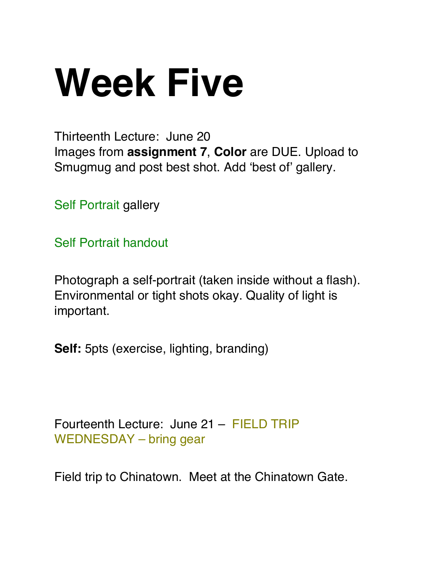# **Week Five**

Thirteenth Lecture: June 20 Images from **assignment 7**, **Color** are DUE. Upload to Smugmug and post best shot. Add 'best of' gallery.

[Self Portrait](https://buphotojournalism.smugmug.com/JO305/Best-of/Self-portrait/) gallery

[Self Portrait](http://buphotojournalism.com/home/jo305/jo305-handouts/assignment-1617-self-portrait-and-famous-person/) handout

Photograph a self-portrait (taken inside without a flash). Environmental or tight shots okay. Quality of light is important.

**Self:** 5pts (exercise, lighting, branding)

Fourteenth Lecture: June 21 – FIELD TRIP WEDNESDAY – bring gear

Field trip to Chinatown. Meet at the Chinatown Gate.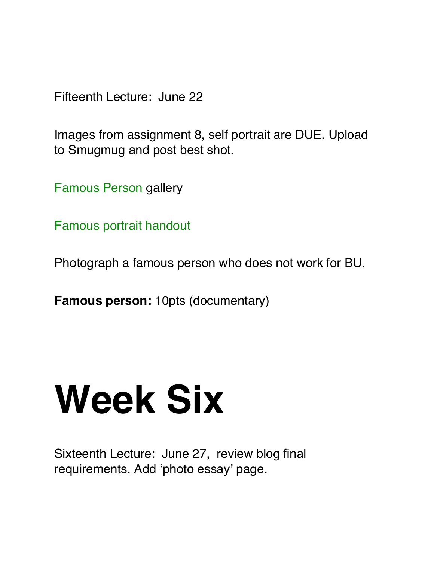Fifteenth Lecture: June 22

Images from assignment 8, self portrait are DUE. Upload to Smugmug and post best shot.

[Famous Person](https://buphotojournalism.smugmug.com/JO305/Best-of/Famous-person/) gallery

Famous [portrait handout](http://buphotojournalism.com/home/jo305/jo305-handouts/assignment-9-famous-person/)

Photograph a famous person who does not work for BU.

**Famous person:** 10pts (documentary)

### **Week Six**

Sixteenth Lecture: June 27, review blog final requirements. Add 'photo essay' page.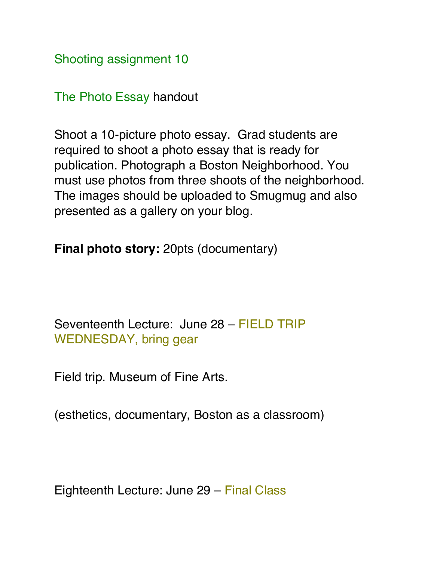[Shooting assignment 10](http://buphotojournalism.com/classes/jo305/jo305-handouts/assignment-18-the-photo-essay/)

[The Photo Essay](http://buphotojournalism.com/classes/jo305/jo305-handouts/assignment-18-the-photo-essay/) handout

Shoot a 10-picture photo essay. Grad students are required to shoot a photo essay that is ready for publication. Photograph a Boston Neighborhood. You must use photos from three shoots of the neighborhood. The images should be uploaded to Smugmug and also presented as a gallery on your blog.

**Final photo story:** 20pts (documentary)

Seventeenth Lecture: June 28 – FIELD TRIP WEDNESDAY, bring gear

Field trip. Museum of Fine Arts.

(esthetics, documentary, Boston as a classroom)

Eighteenth Lecture: June 29 – Final Class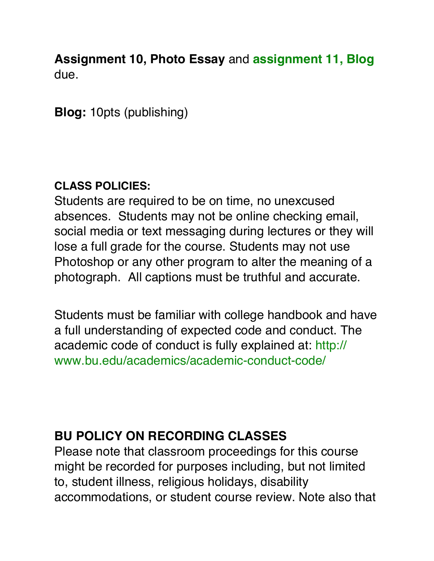**Assignment 10, Photo Essay** and **[assignment 11, Blog](http://buphotojournalism.com/classes/jo305/jo305-handouts/assignment-11-blog/)** due.

**Blog:** 10pts (publishing)

### **CLASS POLICIES:**

Students are required to be on time, no unexcused absences. Students may not be online checking email, social media or text messaging during lectures or they will lose a full grade for the course. Students may not use Photoshop or any other program to alter the meaning of a photograph. All captions must be truthful and accurate.

Students must be familiar with college handbook and have a full understanding of expected code and conduct. The academic code of conduct is fully explained at[: http://](http://www.bu.edu/academics/policies/academic-conduct-code/) [www.bu.edu/academics/academic-conduct-code/](http://www.bu.edu/academics/policies/academic-conduct-code/)

### **BU POLICY ON RECORDING CLASSES**

Please note that classroom proceedings for this course might be recorded for purposes including, but not limited to, student illness, religious holidays, disability accommodations, or student course review. Note also that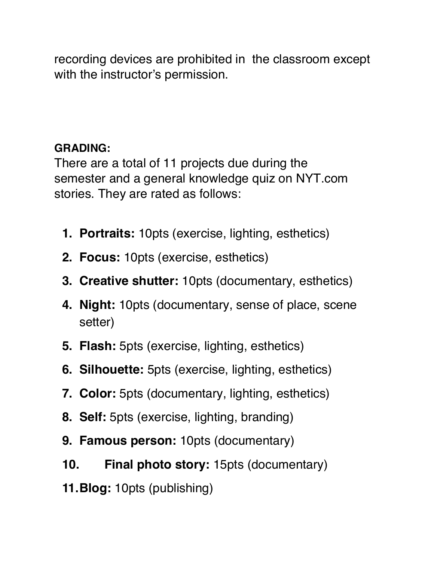recording devices are prohibited in the classroom except with the instructor's permission.

### **GRADING:**

There are a total of 11 projects due during the semester and a general knowledge quiz on NYT.com stories. They are rated as follows:

- **1. Portraits:** 10pts (exercise, lighting, esthetics)
- **2. Focus:** 10pts (exercise, esthetics)
- **3. Creative shutter:** 10pts (documentary, esthetics)
- **4. Night:** 10pts (documentary, sense of place, scene setter)
- **5. Flash:** 5pts (exercise, lighting, esthetics)
- **6. Silhouette:** 5pts (exercise, lighting, esthetics)
- **7. Color:** 5pts (documentary, lighting, esthetics)
- **8. Self:** 5pts (exercise, lighting, branding)
- **9. Famous person:** 10pts (documentary)
- **10. Final photo story:** 15pts (documentary)
- **11.Blog:** 10pts (publishing)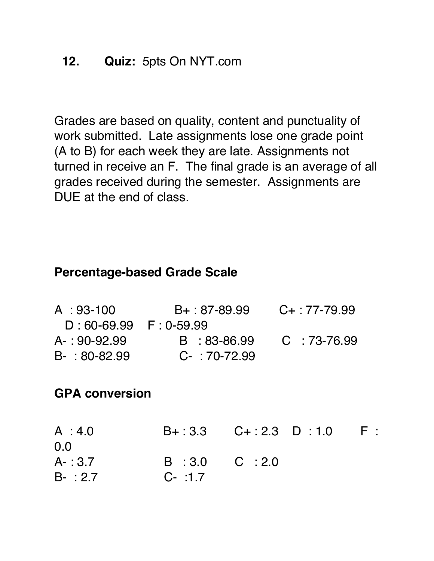Grades are based on quality, content and punctuality of work submitted. Late assignments lose one grade point (A to B) for each week they are late. Assignments not turned in receive an F. The final grade is an average of all grades received during the semester. Assignments are DUE at the end of class.

### **Percentage-based Grade Scale**

| A:93-100             | $B+$ : 87-89.99 | $C_{+}$ : 77-79.99 |
|----------------------|-----------------|--------------------|
| D:60-69.99 F:0-59.99 |                 |                    |
| $A - 90 - 92.99$     | B : 83-86.99    | C : 73-76.99       |
| $B-$ : 80-82.99      | $C - 70-72.99$  |                    |

### **GPA conversion**

| A:4.0     |                 | $B + 3.3$ $C + 2.3$ D : 1.0 | $-$ F : |
|-----------|-----------------|-----------------------------|---------|
| 0.0       |                 |                             |         |
| $A - 3.7$ | $B:3.0$ $C:2.0$ |                             |         |
| $B - 2.7$ | $C - 1.7$       |                             |         |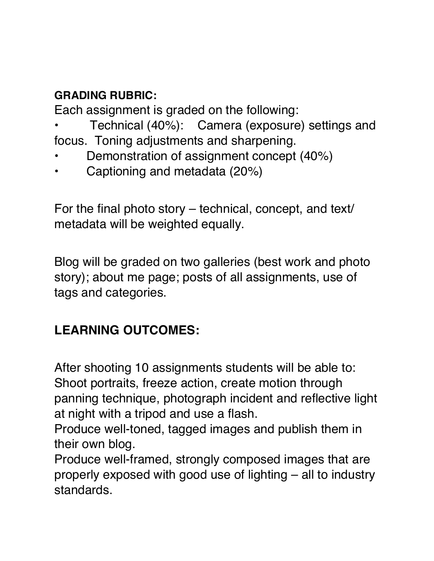### **GRADING RUBRIC:**

Each assignment is graded on the following:

- Technical (40%): Camera (exposure) settings and focus. Toning adjustments and sharpening.
- Demonstration of assignment concept (40%)
- Captioning and metadata (20%)

For the final photo story – technical, concept, and text/ metadata will be weighted equally.

Blog will be graded on two galleries (best work and photo story); about me page; posts of all assignments, use of tags and categories.

### **LEARNING OUTCOMES:**

After shooting 10 assignments students will be able to: Shoot portraits, freeze action, create motion through panning technique, photograph incident and reflective light at night with a tripod and use a flash.

Produce well-toned, tagged images and publish them in their own blog.

Produce well-framed, strongly composed images that are properly exposed with good use of lighting – all to industry standards.